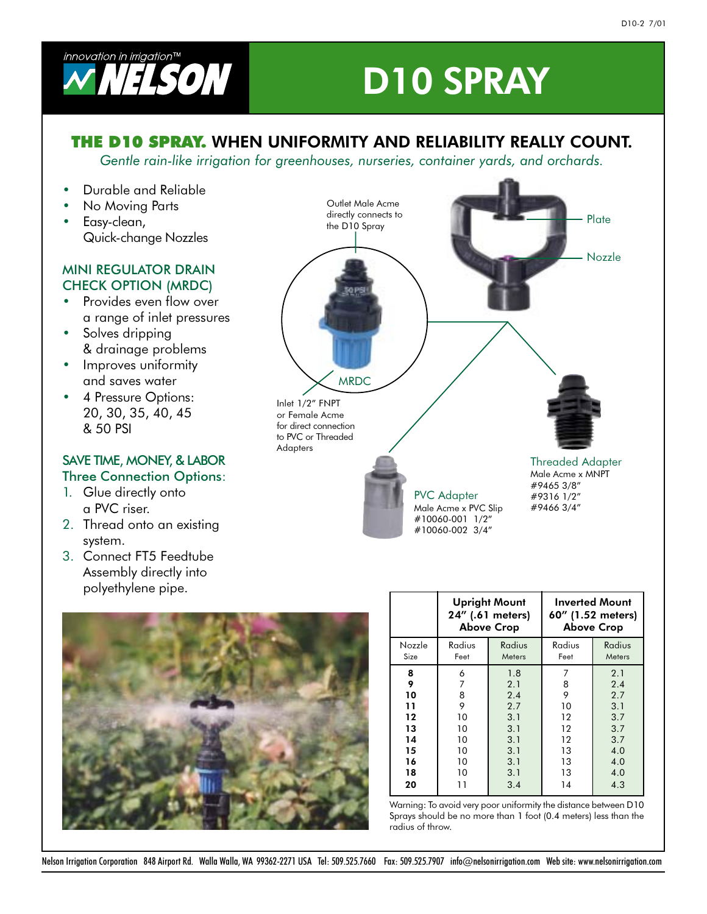

# **D10 SPRAY**

### **THE D10 SPRAY.** WHEN UNIFORMITY AND RELIABILITY REALLY COUNT.

Gentle rain-like irrigation for greenhouses, nurseries, container yards, and orchards.

- Durable and Reliable  $\bullet$
- No Moving Parts • Easy-clean, Quick-change Nozzles

#### **MINI REGULATOR DRAIN CHECK OPTION (MRDC)**

- Provides even flow over a range of inlet pressures
- Solves dripping & drainage problems
- Improves uniformity and saves water
- 4 Pressure Options: 20, 30, 35, 40, 45 & 50 PSI

#### SAVE TIME, MONEY, & LABOR **Three Connection Options:**

- 1. Glue directly onto a PVC riser.
- 2. Thread onto an existing system.
- 3. Connect FT5 Feedtube Assembly directly into polyethylene pipe.





|        |        | <b>Upright Mount</b><br>24" (.61 meters)<br><b>Above Crop</b> | <b>Inverted Mount</b><br>60" (1.52 meters)<br><b>Above Crop</b> |        |  |  |
|--------|--------|---------------------------------------------------------------|-----------------------------------------------------------------|--------|--|--|
| Nozzle | Radius | Radius                                                        | Radius                                                          | Radius |  |  |
| Size   | Feet   | Meters                                                        | Feet                                                            | Meters |  |  |
| 8      | 6      | 1.8                                                           | 7                                                               | 2.1    |  |  |
| 9      | 7      | 2.1                                                           | 8                                                               | 2.4    |  |  |
| 10     | 8      | 2.4                                                           | 9                                                               | 2.7    |  |  |
| 11     | 9      | 2.7                                                           | 10                                                              | 3.1    |  |  |
| 12     | 10     | 3.1                                                           | $12 \,$                                                         | 3.7    |  |  |
| 13     | 10     | 3.1                                                           | $12 \,$                                                         | 3.7    |  |  |
| 14     | 10     | 3.1                                                           | 12                                                              | 3.7    |  |  |
| 15     | 10     | 3.1                                                           | 13                                                              | 4.0    |  |  |
| 16     | 10     | 3.1                                                           | 13                                                              | 4.0    |  |  |
| 18     | 10     | 3.1                                                           | 13                                                              | 4.0    |  |  |
| 20     | 11     | 3.4                                                           | 14                                                              | 4.3    |  |  |

Warning: To avoid very poor uniformity the distance between D10 Sprays should be no more than 1 foot (0.4 meters) less than the radius of throw.

Nelson Irrigation Corporation 848 Airport Rd. Walla Walla, WA 99362-2271 USA Tel: 509.525.7660 Fax: 509.525.7907 info@nelsonirrigation.com Web site: www.nelsonirrigation.com